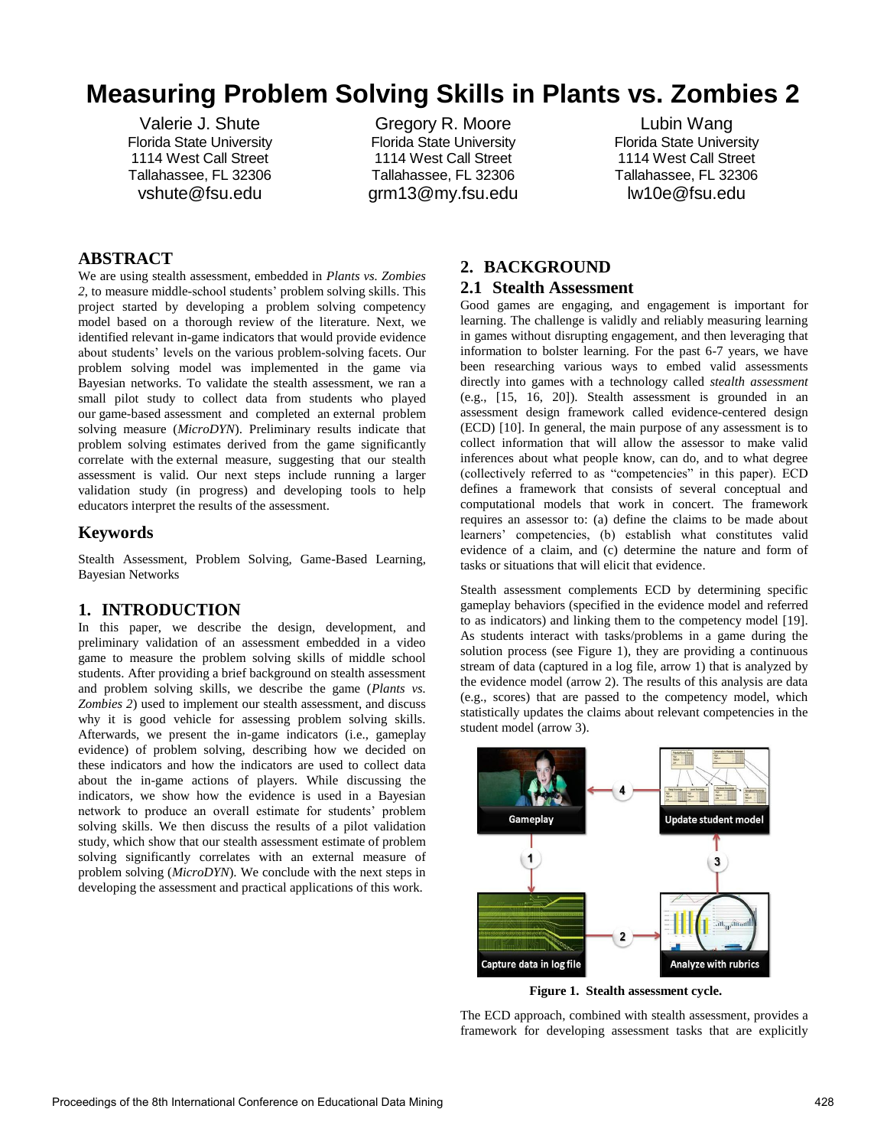# **Measuring Problem Solving Skills in Plants vs. Zombies 2**

Valerie J. Shute Florida State University 1114 West Call Street Tallahassee, FL 32306 vshute@fsu.edu

Gregory R. Moore Florida State University 1114 West Call Street Tallahassee, FL 32306 grm13@my.fsu.edu

Lubin Wang Florida State University 1114 West Call Street Tallahassee, FL 32306 lw10e@fsu.edu

## **ABSTRACT**

We are using stealth assessment, embedded in *Plants vs. Zombies 2*, to measure middle-school students' problem solving skills. This project started by developing a problem solving competency model based on a thorough review of the literature. Next, we identified relevant in-game indicators that would provide evidence about students' levels on the various problem-solving facets. Our problem solving model was implemented in the game via Bayesian networks. To validate the stealth assessment, we ran a small pilot study to collect data from students who played our game-based assessment and completed an external problem solving measure (*MicroDYN*). Preliminary results indicate that problem solving estimates derived from the game significantly correlate with the external measure, suggesting that our stealth assessment is valid. Our next steps include running a larger validation study (in progress) and developing tools to help educators interpret the results of the assessment.

#### **Keywords**

Stealth Assessment, Problem Solving, Game-Based Learning, Bayesian Networks

## **1. INTRODUCTION**

In this paper, we describe the design, development, and preliminary validation of an assessment embedded in a video game to measure the problem solving skills of middle school students. After providing a brief background on stealth assessment and problem solving skills, we describe the game (*Plants vs. Zombies 2*) used to implement our stealth assessment, and discuss why it is good vehicle for assessing problem solving skills. Afterwards, we present the in-game indicators (i.e., gameplay evidence) of problem solving, describing how we decided on these indicators and how the indicators are used to collect data about the in-game actions of players. While discussing the indicators, we show how the evidence is used in a Bayesian network to produce an overall estimate for students' problem solving skills. We then discuss the results of a pilot validation study, which show that our stealth assessment estimate of problem solving significantly correlates with an external measure of problem solving (*MicroDYN*). We conclude with the next steps in developing the assessment and practical applications of this work.

## **2. BACKGROUND 2.1 Stealth Assessment**

Good games are engaging, and engagement is important for learning. The challenge is validly and reliably measuring learning in games without disrupting engagement, and then leveraging that information to bolster learning. For the past 6-7 years, we have been researching various ways to embed valid assessments directly into games with a technology called *stealth assessment* (e.g., [15, 16, 20]). Stealth assessment is grounded in an assessment design framework called evidence-centered design (ECD) [10]. In general, the main purpose of any assessment is to collect information that will allow the assessor to make valid inferences about what people know, can do, and to what degree (collectively referred to as "competencies" in this paper). ECD defines a framework that consists of several conceptual and computational models that work in concert. The framework requires an assessor to: (a) define the claims to be made about learners' competencies, (b) establish what constitutes valid evidence of a claim, and (c) determine the nature and form of tasks or situations that will elicit that evidence.

Stealth assessment complements ECD by determining specific gameplay behaviors (specified in the evidence model and referred to as indicators) and linking them to the competency model [19]. As students interact with tasks/problems in a game during the solution process (see Figure 1), they are providing a continuous stream of data (captured in a log file, arrow 1) that is analyzed by the evidence model (arrow 2). The results of this analysis are data (e.g., scores) that are passed to the competency model, which statistically updates the claims about relevant competencies in the student model (arrow 3).



**Figure 1. Stealth assessment cycle.**

The ECD approach, combined with stealth assessment, provides a framework for developing assessment tasks that are explicitly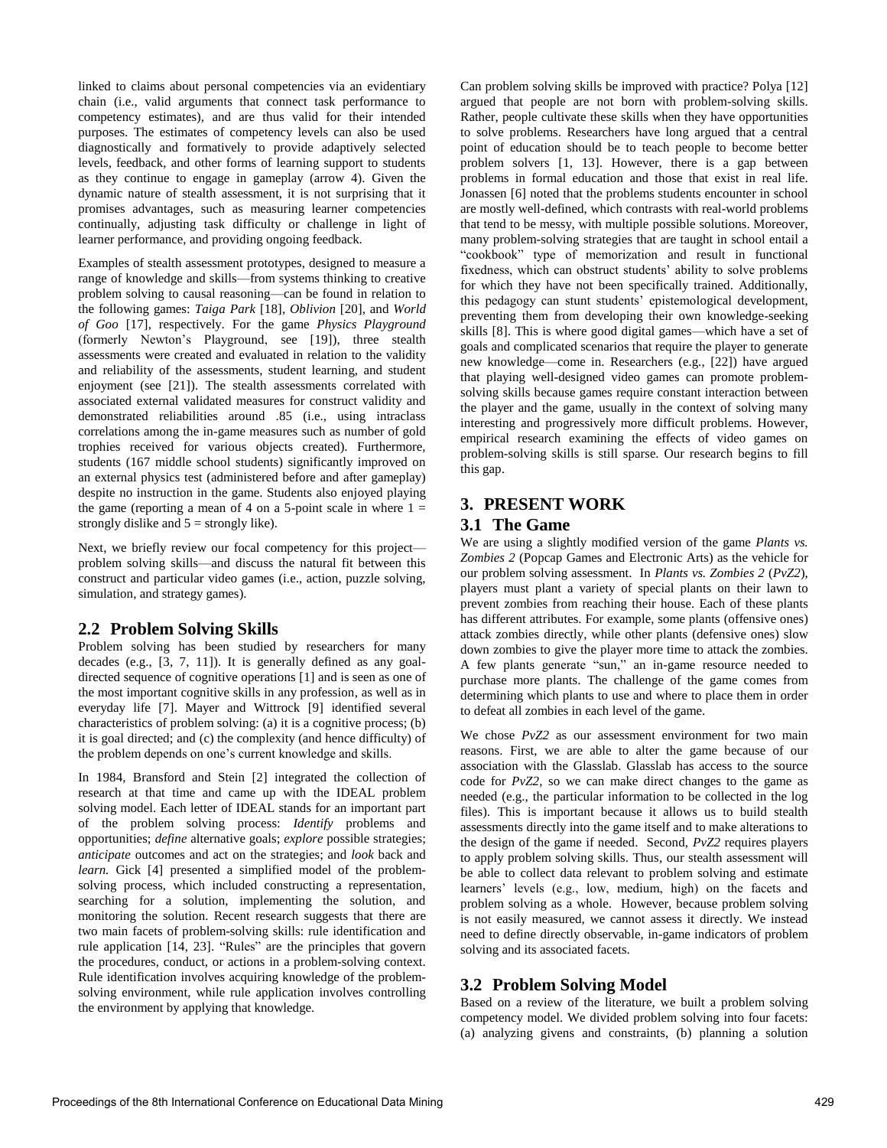linked to claims about personal competencies via an evidentiary chain (i.e., valid arguments that connect task performance to competency estimates), and are thus valid for their intended purposes. The estimates of competency levels can also be used diagnostically and formatively to provide adaptively selected levels, feedback, and other forms of learning support to students as they continue to engage in gameplay (arrow 4). Given the dynamic nature of stealth assessment, it is not surprising that it promises advantages, such as measuring learner competencies continually, adjusting task difficulty or challenge in light of learner performance, and providing ongoing feedback.

Examples of stealth assessment prototypes, designed to measure a range of knowledge and skills—from systems thinking to creative problem solving to causal reasoning—can be found in relation to the following games: *Taiga Park* [18], *Oblivion* [20], and *World of Goo* [17], respectively. For the game *Physics Playground* (formerly Newton's Playground, see [19]), three stealth assessments were created and evaluated in relation to the validity and reliability of the assessments, student learning, and student enjoyment (see [21]). The stealth assessments correlated with associated external validated measures for construct validity and demonstrated reliabilities around .85 (i.e., using intraclass correlations among the in-game measures such as number of gold trophies received for various objects created). Furthermore, students (167 middle school students) significantly improved on an external physics test (administered before and after gameplay) despite no instruction in the game. Students also enjoyed playing the game (reporting a mean of 4 on a 5-point scale in where  $1 =$ strongly dislike and  $5 =$  strongly like).

Next, we briefly review our focal competency for this project problem solving skills—and discuss the natural fit between this construct and particular video games (i.e., action, puzzle solving, simulation, and strategy games).

## **2.2 Problem Solving Skills**

Problem solving has been studied by researchers for many decades (e.g., [3, 7, 11]). It is generally defined as any goaldirected sequence of cognitive operations [1] and is seen as one of the most important cognitive skills in any profession, as well as in everyday life [7]. Mayer and Wittrock [9] identified several characteristics of problem solving: (a) it is a cognitive process; (b) it is goal directed; and (c) the complexity (and hence difficulty) of the problem depends on one's current knowledge and skills.

In 1984, Bransford and Stein [2] integrated the collection of research at that time and came up with the IDEAL problem solving model. Each letter of IDEAL stands for an important part of the problem solving process: *Identify* problems and opportunities; *define* alternative goals; *explore* possible strategies; *anticipate* outcomes and act on the strategies; and *look* back and *learn.* Gick [4] presented a simplified model of the problemsolving process, which included constructing a representation, searching for a solution, implementing the solution, and monitoring the solution. Recent research suggests that there are two main facets of problem-solving skills: rule identification and rule application [14, 23]. "Rules" are the principles that govern the procedures, conduct, or actions in a problem-solving context. Rule identification involves acquiring knowledge of the problemsolving environment, while rule application involves controlling the environment by applying that knowledge.

Can problem solving skills be improved with practice? Polya [12] argued that people are not born with problem-solving skills. Rather, people cultivate these skills when they have opportunities to solve problems. Researchers have long argued that a central point of education should be to teach people to become better problem solvers [1, 13]. However, there is a gap between problems in formal education and those that exist in real life. Jonassen [6] noted that the problems students encounter in school are mostly well-defined, which contrasts with real-world problems that tend to be messy, with multiple possible solutions. Moreover, many problem-solving strategies that are taught in school entail a "cookbook" type of memorization and result in functional fixedness, which can obstruct students' ability to solve problems for which they have not been specifically trained. Additionally, this pedagogy can stunt students' epistemological development, preventing them from developing their own knowledge-seeking skills [8]. This is where good digital games—which have a set of goals and complicated scenarios that require the player to generate new knowledge—come in. Researchers (e.g., [22]) have argued that playing well-designed video games can promote problemsolving skills because games require constant interaction between the player and the game, usually in the context of solving many interesting and progressively more difficult problems. However, empirical research examining the effects of video games on problem-solving skills is still sparse. Our research begins to fill this gap.

# **3. PRESENT WORK**

#### **3.1 The Game**

We are using a slightly modified version of the game *Plants vs. Zombies 2* (Popcap Games and Electronic Arts) as the vehicle for our problem solving assessment. In *Plants vs. Zombies 2* (*PvZ2*), players must plant a variety of special plants on their lawn to prevent zombies from reaching their house. Each of these plants has different attributes. For example, some plants (offensive ones) attack zombies directly, while other plants (defensive ones) slow down zombies to give the player more time to attack the zombies. A few plants generate "sun," an in-game resource needed to purchase more plants. The challenge of the game comes from determining which plants to use and where to place them in order to defeat all zombies in each level of the game.

We chose *PvZ2* as our assessment environment for two main reasons. First, we are able to alter the game because of our association with the Glasslab. Glasslab has access to the source code for *PvZ2,* so we can make direct changes to the game as needed (e.g., the particular information to be collected in the log files). This is important because it allows us to build stealth assessments directly into the game itself and to make alterations to the design of the game if needed. Second, *PvZ2* requires players to apply problem solving skills. Thus, our stealth assessment will be able to collect data relevant to problem solving and estimate learners' levels (e.g., low, medium, high) on the facets and problem solving as a whole. However, because problem solving is not easily measured, we cannot assess it directly. We instead need to define directly observable, in-game indicators of problem solving and its associated facets.

## **3.2 Problem Solving Model**

Based on a review of the literature, we built a problem solving competency model. We divided problem solving into four facets: (a) analyzing givens and constraints, (b) planning a solution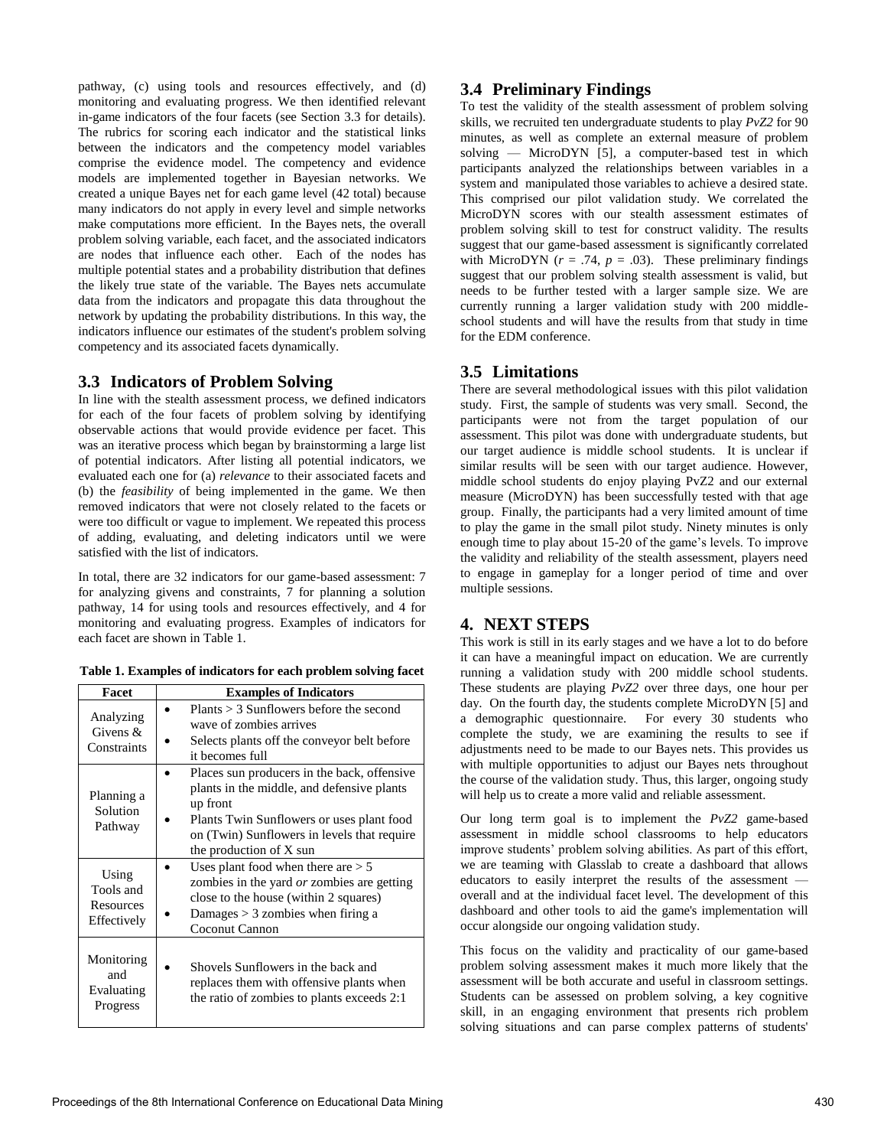pathway, (c) using tools and resources effectively, and (d) monitoring and evaluating progress. We then identified relevant in-game indicators of the four facets (see Section 3.3 for details). The rubrics for scoring each indicator and the statistical links between the indicators and the competency model variables comprise the evidence model. The competency and evidence models are implemented together in Bayesian networks. We created a unique Bayes net for each game level (42 total) because many indicators do not apply in every level and simple networks make computations more efficient. In the Bayes nets, the overall problem solving variable, each facet, and the associated indicators are nodes that influence each other. Each of the nodes has multiple potential states and a probability distribution that defines the likely true state of the variable. The Bayes nets accumulate data from the indicators and propagate this data throughout the network by updating the probability distributions. In this way, the indicators influence our estimates of the student's problem solving competency and its associated facets dynamically.

#### **3.3 Indicators of Problem Solving**

In line with the stealth assessment process, we defined indicators for each of the four facets of problem solving by identifying observable actions that would provide evidence per facet. This was an iterative process which began by brainstorming a large list of potential indicators. After listing all potential indicators, we evaluated each one for (a) *relevance* to their associated facets and (b) the *feasibility* of being implemented in the game. We then removed indicators that were not closely related to the facets or were too difficult or vague to implement. We repeated this process of adding, evaluating, and deleting indicators until we were satisfied with the list of indicators.

In total, there are 32 indicators for our game-based assessment: 7 for analyzing givens and constraints, 7 for planning a solution pathway, 14 for using tools and resources effectively, and 4 for monitoring and evaluating progress. Examples of indicators for each facet are shown in Table 1.

| Facet                                          | <b>Examples of Indicators</b>                                                                                                                                                                                                |
|------------------------------------------------|------------------------------------------------------------------------------------------------------------------------------------------------------------------------------------------------------------------------------|
| Analyzing<br>Givens $&$<br>Constraints         | Plants $>$ 3 Sunflowers before the second<br>wave of zombies arrives<br>Selects plants off the conveyor belt before<br>it becomes full                                                                                       |
| Planning a<br>Solution<br>Pathway              | Places sun producers in the back, offensive<br>plants in the middle, and defensive plants<br>up front<br>Plants Twin Sunflowers or uses plant food<br>on (Twin) Sunflowers in levels that require<br>the production of X sun |
| Using<br>Tools and<br>Resources<br>Effectively | Uses plant food when there are $> 5$<br>zombies in the yard <i>or</i> zombies are getting<br>close to the house (within 2 squares)<br>Damages $> 3$ zombies when firing a<br>Coconut Cannon                                  |
| Monitoring<br>and<br>Evaluating<br>Progress    | Shovels Sunflowers in the back and<br>replaces them with offensive plants when<br>the ratio of zombies to plants exceeds 2:1                                                                                                 |

#### **3.4 Preliminary Findings**

To test the validity of the stealth assessment of problem solving skills, we recruited ten undergraduate students to play *PvZ2* for 90 minutes, as well as complete an external measure of problem solving — MicroDYN  $\overline{5}$ , a computer-based test in which participants analyzed the relationships between variables in a system and manipulated those variables to achieve a desired state. This comprised our pilot validation study. We correlated the MicroDYN scores with our stealth assessment estimates of problem solving skill to test for construct validity. The results suggest that our game-based assessment is significantly correlated with MicroDYN ( $r = .74$ ,  $p = .03$ ). These preliminary findings suggest that our problem solving stealth assessment is valid, but needs to be further tested with a larger sample size. We are currently running a larger validation study with 200 middleschool students and will have the results from that study in time for the EDM conference.

#### **3.5 Limitations**

There are several methodological issues with this pilot validation study. First, the sample of students was very small. Second, the participants were not from the target population of our assessment. This pilot was done with undergraduate students, but our target audience is middle school students. It is unclear if similar results will be seen with our target audience. However, middle school students do enjoy playing PvZ2 and our external measure (MicroDYN) has been successfully tested with that age group. Finally, the participants had a very limited amount of time to play the game in the small pilot study. Ninety minutes is only enough time to play about 15-20 of the game's levels. To improve the validity and reliability of the stealth assessment, players need to engage in gameplay for a longer period of time and over multiple sessions.

#### **4. NEXT STEPS**

This work is still in its early stages and we have a lot to do before it can have a meaningful impact on education. We are currently running a validation study with 200 middle school students. These students are playing *PvZ2* over three days, one hour per day. On the fourth day, the students complete MicroDYN [5] and a demographic questionnaire. For every 30 students who complete the study, we are examining the results to see if adjustments need to be made to our Bayes nets. This provides us with multiple opportunities to adjust our Bayes nets throughout the course of the validation study. Thus, this larger, ongoing study will help us to create a more valid and reliable assessment.

Our long term goal is to implement the *PvZ2* game-based assessment in middle school classrooms to help educators improve students' problem solving abilities. As part of this effort, we are teaming with Glasslab to create a dashboard that allows educators to easily interpret the results of the assessment overall and at the individual facet level. The development of this dashboard and other tools to aid the game's implementation will occur alongside our ongoing validation study.

This focus on the validity and practicality of our game-based problem solving assessment makes it much more likely that the assessment will be both accurate and useful in classroom settings. Students can be assessed on problem solving, a key cognitive skill, in an engaging environment that presents rich problem solving situations and can parse complex patterns of students'